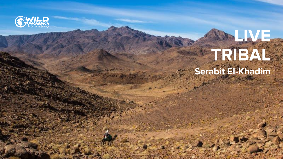

# **LIVE TRIBAL Serabit El-Khadim**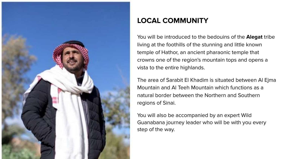

# **LOCAL COMMUNITY**

You will be introduced to the bedouins of the **Alegat** tribe living at the foothills of the stunning and little known temple of Hathor, an ancient pharaonic temple that crowns one of the region's mountain tops and opens a vista to the entire highlands.

The area of Sarabit El Khadim is situated between Al Ejma Mountain and Al Teeh Mountain which functions as a natural border between the Northern and Southern regions of Sinai.

You will also be accompanied by an expert Wild Guanabana journey leader who will be with you every step of the way.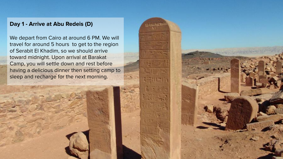# **Day 1 - Arrive at Abu Redeis (D)**

We depart from Cairo at around 6 PM. We will travel for around 5 hours to get to the region of Serabit El Khadim, so we should arrive toward midnight. Upon arrival at Barakat Camp, you will settle down and rest before having a delicious dinner then setting camp to sleep and recharge for the next morning.

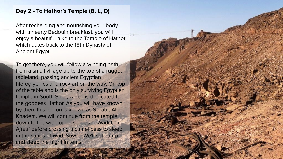### **Day 2 - To Hathor's Temple (B, L, D)**

After recharging and nourishing your body with a hearty Bedouin breakfast, you will enjoy a beautiful hike to the Temple of Hathor, which dates back to the 18th Dynasty of Ancient Egypt.

To get there, you will follow a winding path from a small village up to the top of a rugged tableland, passing ancient Egyptian hieroglyphics and rock art on the way. On top of the tableland is the only surviving Egyptian temple in South Sinai, which is dedicated to the goddess Hathor. As you will have known by then, this region is known as Serabit Al Khadem. We will continue from the temple down to the wide open spaces of Wadi Um Ajraaf before crossing a camel pass to sleep in the sands of Wadi Suwig. We'll set camp and sleep the night in tents.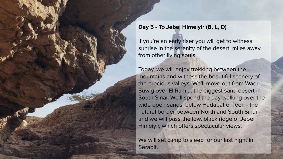### **Day 3 - To Jebel Himeiyir (B, L, D)**

If you're an early riser you will get to witness sunrise in the serenity of the desert, miles away from other living souls.

Today, we will enjoy trekking between the mountains and witness the beautiful scenery of the precious valleys. We'll move out from Wadi Suwig over El Ramla: the biggest sand desert in South Sinai. We'll spend the day walking over the wide open sands, below Hadabat el Teeh - the natural border between North and South Sinai and we will pass the low, black ridge of Jebel Himeiyir, which offers spectacular views.

We will set camp to sleep for our last night in Serabit.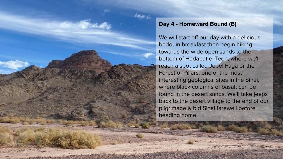### **Day 4 - Homeward Bound (B)**

We will start off our day with a delicious bedouin breakfast then begin hiking towards the wide open sands to the bottom of Hadabat el Teeh, where we'll reach a spot called Jebel Fuga or the Forest of Pillars: one of the most interesting geological sites in the Sinai, where black columns of basalt can be found in the desert sands. We'll take jeeps back to the desert village to the end of our pilgrimage & bid Sinai farewell before heading home.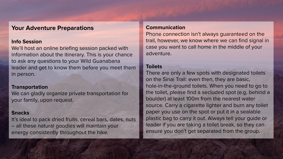## **Your Adventure Preparations**

#### **Info Session**

We'll host an online briefing session packed with information about the itinerary. This is your chance to ask any questions to your Wild Guanabana leader and get to know them before you meet them in person.

#### **Transportation**

We can gladly organize private transportation for your family, upon request.

#### **Snacks**

It's ideal to pack dried fruits, cereal bars, dates, nuts – all these natural goodies will maintain your energy consistently throughout the hike.

#### **Communication**

Phone connection isn't always guaranteed on the trail, however, we know where we can find signal in case you want to call home in the middle of your adventure.

# **Toilets**

There are only a few spots with designated toilets on the Sinai Trail: even then, they are basic, hole-in-the-ground toilets. When you need to go to the toilet, please find a secluded spot (e.g. behind a boulder) at least 100m from the nearest water source. Carry a cigarette lighter and burn any toilet paper you use on the spot or put it in a sealable plastic bag to carry it out. Always tell your guide or leader if you are taking a toilet break, so they can ensure you don't get separated from the group.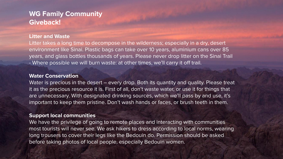# **WG Family Community Giveback!**

#### **Litter and Waste**

Litter takes a long time to decompose in the wilderness; especially in a dry, desert environment like Sinai. Plastic bags can take over 10 years, aluminium cans over 85 years, and glass bottles thousands of years. Please never drop litter on the Sinai Trail - Where possible we will burn waste: at other times, we'll carry it off trail.

#### **Water Conservation**

Water is precious in the desert – every drop. Both its quantity and quality. Please treat it as the precious resource it is. First of all, don't waste water, or use it for things that are unnecessary. With designated drinking sources, which we'll pass by and use, it's important to keep them pristine. Don't wash hands or faces, or brush teeth in them.

#### **Support local communities**

We have the privilege of going to remote places and interacting with communities most tourists will never see. We ask hikers to dress according to local norms, wearing long trousers to cover their legs like the Bedouin do. Permission should be asked before taking photos of local people, especially Bedouin women.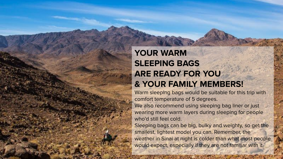# **YOUR WARM SLEEPING BAGS ARE READY FOR YOU & YOUR FAMILY MEMBERS!**

Warm sleeping bags would be suitable for this trip with comfort temperature of 5 degrees.

We also recommend using sleeping bag liner or just wearing more warm layers during sleeping for people who'd still feel cold.

Sleeping bags can be big, bulky and weighty, so get the smallest, lightest model you can. Remember, the weather in Sinai at night is colder than what most people would expect, especially if they are not familiar with it.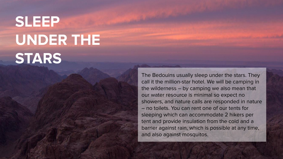# **SLEEP UNDER THE STARS**

The Bedouins usually sleep under the stars. They call it the million-star hotel. We will be camping in the wilderness – by camping we also mean that our water resource is minimal so expect no showers, and nature calls are responded in nature – no toilets. You can rent one of our tents for sleeping which can accommodate 2 hikers per tent and provide insulation from the cold and a barrier against rain, which is possible at any time, and also against mosquitos.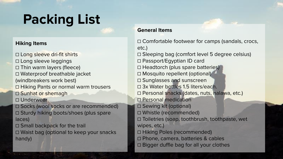# **Packing List**

#### **Hiking Items**

☐ Long sleeve dri-fit shirts ☐ Long sleeve leggings ☐ Thin warm layers (fleece) ☐ Waterproof breathable jacket (windbreakers work best) ☐ Hiking Pants or normal warm trousers □ Sunhat or shemagh □ Underwear ☐ Socks (wool socks or are recommended) ☐ Sturdy hiking boots/shoes (plus spare laces) □ Small backpack for the trail ☐ Waist bag (optional to keep your snacks handy)

### **General Items**

☐ Comfortable footwear for camps (sandals, crocs, etc.) ☐ Sleeping bag (comfort level 5 degree celsius) ☐ Passport/Egyptian ID card □ Headtorch (plus spare batteries) □ Mosquito repellent (optional) ☐ Sunglasses and sunscreen ☐ 3x Water bottles 1.5 liters/each. ☐ Personal snacks (dates, nuts, halawa, etc.) ☐ Personal medication ☐ Sewing kit (optional) ☐ Whistle (recommended) ☐ Toiletries (soap, toothbrush, toothpaste, wet wipes, etc.) ☐ Hiking Poles (recommended) ☐ Phone, camera, batteries & cables ☐ Bigger duffle bag for all your clothes